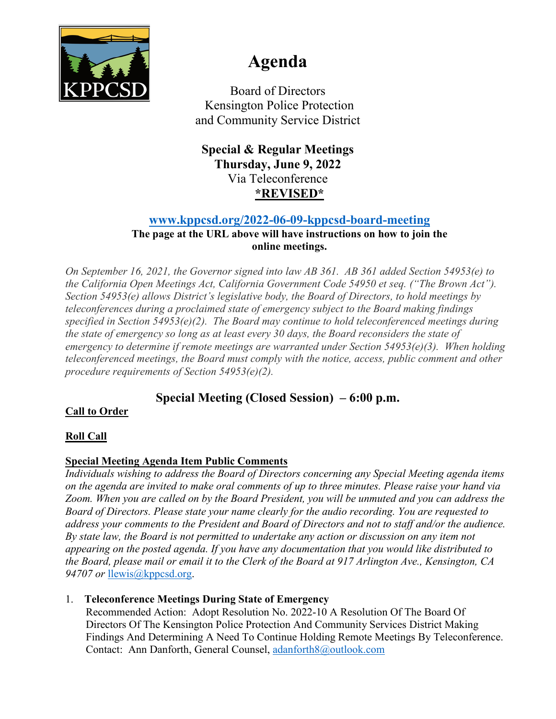

# **Agenda**

Board of Directors Kensington Police Protection and Community Service District

**Special & Regular Meetings Thursday, June 9, 2022** Via Teleconference **\*REVISED\***

# **[www.kppcsd.org/2022-06-09-kppcsd-board-meeting](http://www.kppcsd.org/2022-06-09-kppcsd-board-meeting)**

#### **The page at the URL above will have instructions on how to join the online meetings.**

*On September 16, 2021, the Governor signed into law AB 361. AB 361 added Section 54953(e) to the California Open Meetings Act, California Government Code 54950 et seq. ("The Brown Act"). Section 54953(e) allows District's legislative body, the Board of Directors, to hold meetings by teleconferences during a proclaimed state of emergency subject to the Board making findings specified in Section 54953(e)(2). The Board may continue to hold teleconferenced meetings during the state of emergency so long as at least every 30 days, the Board reconsiders the state of emergency to determine if remote meetings are warranted under Section 54953(e)(3). When holding teleconferenced meetings, the Board must comply with the notice, access, public comment and other procedure requirements of Section 54953(e)(2).* 

# **Special Meeting (Closed Session) – 6:00 p.m.**

# **Call to Order**

# **Roll Call**

# **Special Meeting Agenda Item Public Comments**

*Individuals wishing to address the Board of Directors concerning any Special Meeting agenda items on the agenda are invited to make oral comments of up to three minutes. Please raise your hand via Zoom. When you are called on by the Board President, you will be unmuted and you can address the Board of Directors. Please state your name clearly for the audio recording. You are requested to address your comments to the President and Board of Directors and not to staff and/or the audience. By state law, the Board is not permitted to undertake any action or discussion on any item not appearing on the posted agenda. If you have any documentation that you would like distributed to the Board, please mail or email it to the Clerk of the Board at 917 Arlington Ave., Kensington, CA 94707 or* [llewis@kppcsd.org.](mailto:llewis@kppcsd.org)

### 1. **Teleconference Meetings During State of Emergency**

Recommended Action: Adopt Resolution No. 2022-10 A Resolution Of The Board Of Directors Of The Kensington Police Protection And Community Services District Making Findings And Determining A Need To Continue Holding Remote Meetings By Teleconference. Contact: Ann Danforth, General Counsel, [adanforth8@outlook.com](mailto:adanforth8@outlook.com)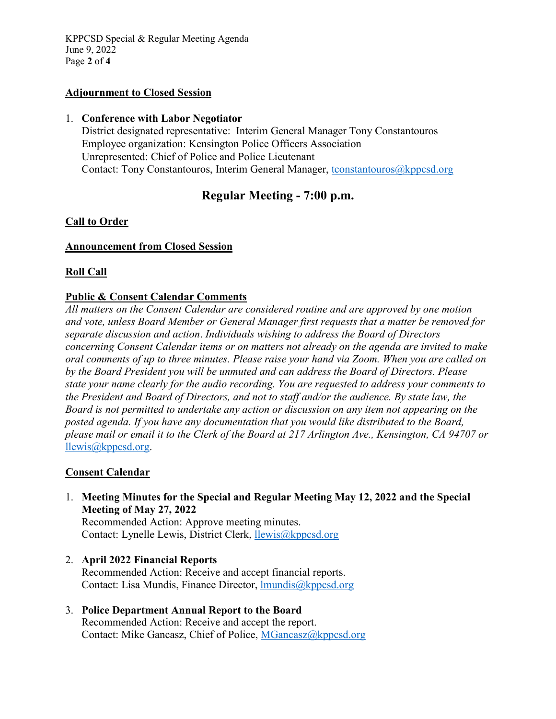KPPCSD Special & Regular Meeting Agenda June 9, 2022 Page **2** of **4**

#### **Adjournment to Closed Session**

#### 1. **Conference with Labor Negotiator**

District designated representative: Interim General Manager Tony Constantouros Employee organization: Kensington Police Officers Association Unrepresented: Chief of Police and Police Lieutenant Contact: Tony Constantouros, Interim General Manager, [tconstantouros@kppcsd.org](mailto:tconstantouros@kppcsd.org)

# **Regular Meeting - 7:00 p.m.**

#### **Call to Order**

#### **Announcement from Closed Session**

#### **Roll Call**

#### **Public & Consent Calendar Comments**

*All matters on the Consent Calendar are considered routine and are approved by one motion and vote, unless Board Member or General Manager first requests that a matter be removed for separate discussion and action*. *Individuals wishing to address the Board of Directors concerning Consent Calendar items or on matters not already on the agenda are invited to make oral comments of up to three minutes. Please raise your hand via Zoom. When you are called on by the Board President you will be unmuted and can address the Board of Directors. Please state your name clearly for the audio recording. You are requested to address your comments to the President and Board of Directors, and not to staff and/or the audience. By state law, the Board is not permitted to undertake any action or discussion on any item not appearing on the posted agenda. If you have any documentation that you would like distributed to the Board, please mail or email it to the Clerk of the Board at 217 Arlington Ave., Kensington, CA 94707 or* [llewis@kppcsd.org.](mailto:llewis@kppcsd.org)

#### **Consent Calendar**

1. **Meeting Minutes for the Special and Regular Meeting May 12, 2022 and the Special Meeting of May 27, 2022**

Recommended Action: Approve meeting minutes. Contact: Lynelle Lewis, District Clerk, [llewis@kppcsd.org](mailto:llewis@kppcsd.org)

- 2. **April 2022 Financial Reports**  Recommended Action: Receive and accept financial reports. Contact: Lisa Mundis, Finance Director, [lmundis@kppcsd.org](mailto:lmundis@kppcsd.org)
- 3. **Police Department Annual Report to the Board** Recommended Action: Receive and accept the report. Contact: Mike Gancasz, Chief of Police, [MGancasz@kppcsd.org](mailto:MGancasz@kppcsd.org)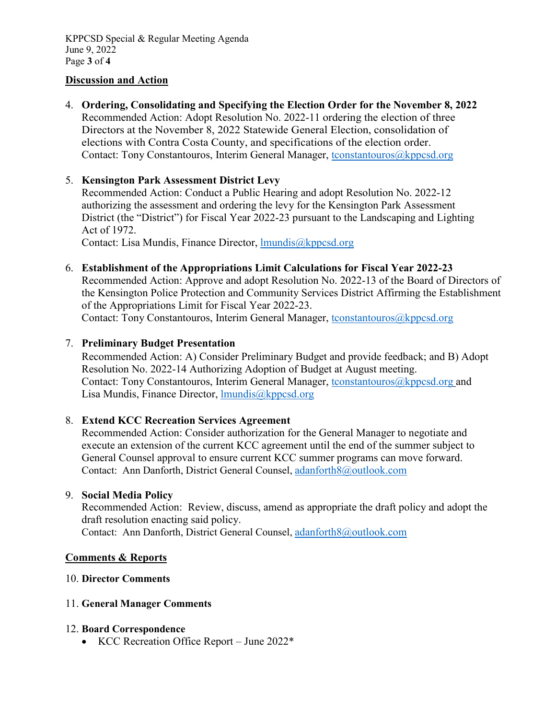#### **Discussion and Action**

4. **Ordering, Consolidating and Specifying the Election Order for the November 8, 2022** Recommended Action: Adopt Resolution No. 2022-11 ordering the election of three Directors at the November 8, 2022 Statewide General Election, consolidation of elections with Contra Costa County, and specifications of the election order. Contact: Tony Constantouros, Interim General Manager, tconstantouros@kppcsd.org

#### 5. **Kensington Park Assessment District Levy**

Recommended Action: Conduct a Public Hearing and adopt Resolution No. 2022-12 authorizing the assessment and ordering the levy for the Kensington Park Assessment District (the "District") for Fiscal Year 2022-23 pursuant to the Landscaping and Lighting Act of 1972.

Contact: Lisa Mundis, Finance Director, *Imundis@kppcsd.org* 

6. **Establishment of the Appropriations Limit Calculations for Fiscal Year 2022-23** 

Recommended Action: Approve and adopt Resolution No. 2022-13 of the Board of Directors of the Kensington Police Protection and Community Services District Affirming the Establishment of the Appropriations Limit for Fiscal Year 2022-23. Contact: Tony Constantouros, Interim General Manager, [tconstantouros@kppcsd.org](mailto:tconstantouros@kppcsd.org)

#### 7. **Preliminary Budget Presentation**

Recommended Action: A) Consider Preliminary Budget and provide feedback; and B) Adopt Resolution No. 2022-14 Authorizing Adoption of Budget at August meeting. Contact: Tony Constantouros, Interim General Manager, tconstantouros $@kppcsd.org$  and Lisa Mundis, Finance Director, *Imundis@kppcsd.org* 

#### 8. **Extend KCC Recreation Services Agreement**

Recommended Action: Consider authorization for the General Manager to negotiate and execute an extension of the current KCC agreement until the end of the summer subject to General Counsel approval to ensure current KCC summer programs can move forward. Contact: Ann Danforth, District General Counsel[, adanforth8@outlook.com](mailto:adanforth8@outlook.com)

#### 9. **Social Media Policy**

Recommended Action: Review, discuss, amend as appropriate the draft policy and adopt the draft resolution enacting said policy. Contact: Ann Danforth, District General Counsel[, adanforth8@outlook.com](mailto:adanforth8@outlook.com)

#### **Comments & Reports**

#### 10. **Director Comments**

#### 11. **General Manager Comments**

#### 12. **Board Correspondence**

• KCC Recreation Office Report – June 2022\*